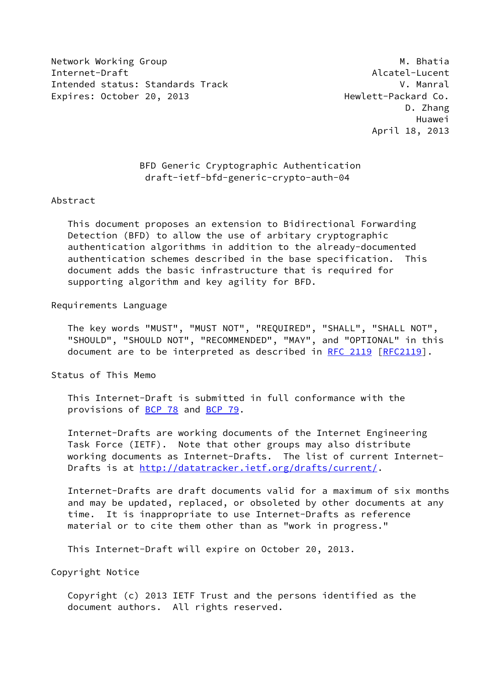Network Working Group Matchest Communication of the Matchest Matchest Matchest Matchest Matchest Matchest Match Internet-Draft Alcatel-Lucent Intended status: Standards Track V. Manral Expires: October 20, 2013 Hewlett-Packard Co.

## BFD Generic Cryptographic Authentication draft-ietf-bfd-generic-crypto-auth-04

#### Abstract

 This document proposes an extension to Bidirectional Forwarding Detection (BFD) to allow the use of arbitary cryptographic authentication algorithms in addition to the already-documented authentication schemes described in the base specification. This document adds the basic infrastructure that is required for supporting algorithm and key agility for BFD.

## Requirements Language

 The key words "MUST", "MUST NOT", "REQUIRED", "SHALL", "SHALL NOT", "SHOULD", "SHOULD NOT", "RECOMMENDED", "MAY", and "OPTIONAL" in this document are to be interpreted as described in [RFC 2119 \[RFC2119](https://datatracker.ietf.org/doc/pdf/rfc2119)].

Status of This Memo

 This Internet-Draft is submitted in full conformance with the provisions of [BCP 78](https://datatracker.ietf.org/doc/pdf/bcp78) and [BCP 79](https://datatracker.ietf.org/doc/pdf/bcp79).

 Internet-Drafts are working documents of the Internet Engineering Task Force (IETF). Note that other groups may also distribute working documents as Internet-Drafts. The list of current Internet- Drafts is at<http://datatracker.ietf.org/drafts/current/>.

 Internet-Drafts are draft documents valid for a maximum of six months and may be updated, replaced, or obsoleted by other documents at any time. It is inappropriate to use Internet-Drafts as reference material or to cite them other than as "work in progress."

This Internet-Draft will expire on October 20, 2013.

Copyright Notice

 Copyright (c) 2013 IETF Trust and the persons identified as the document authors. All rights reserved.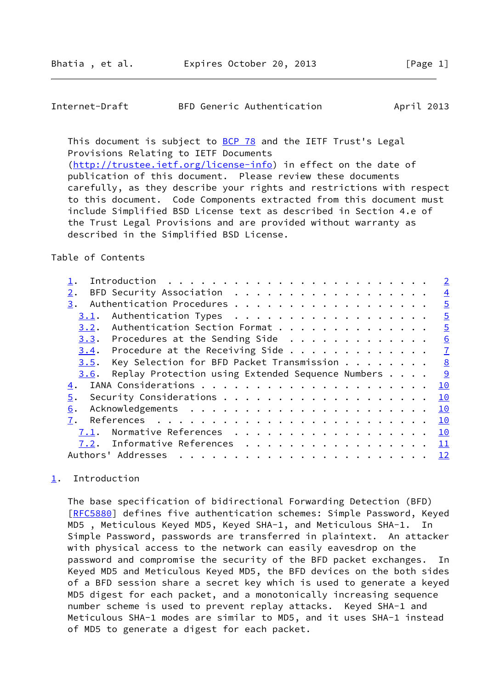### <span id="page-1-1"></span>Internet-Draft BFD Generic Authentication April 2013

This document is subject to [BCP 78](https://datatracker.ietf.org/doc/pdf/bcp78) and the IETF Trust's Legal Provisions Relating to IETF Documents [\(http://trustee.ietf.org/license-info](http://trustee.ietf.org/license-info)) in effect on the date of

 publication of this document. Please review these documents carefully, as they describe your rights and restrictions with respect to this document. Code Components extracted from this document must include Simplified BSD License text as described in Section 4.e of the Trust Legal Provisions and are provided without warranty as described in the Simplified BSD License.

### Table of Contents

|                                                           | $\overline{2}$ |
|-----------------------------------------------------------|----------------|
| $2$ .                                                     | $\overline{4}$ |
| 3.                                                        | $\overline{5}$ |
| Authentication Types<br>3.1.                              | $\overline{5}$ |
| Authentication Section Format<br>3.2.                     | $\overline{5}$ |
| $3.3$ . Procedures at the Sending Side                    | 6              |
| $3.4$ . Procedure at the Receiving Side                   | $\mathbf{I}$   |
| Key Selection for BFD Packet Transmission 8<br>3.5.       |                |
| Replay Protection using Extended Sequence Numbers<br>3.6. |                |
| 4.                                                        | 10             |
| 5.                                                        | 10             |
| 6.                                                        | 10             |
| 7.                                                        | 10             |
| Normative References<br>7.1.                              | 10             |
| Informative References<br>7.2.                            | $\frac{11}{1}$ |
| Authors' Addresses                                        | 12             |
|                                                           |                |

# <span id="page-1-0"></span>[1](#page-1-0). Introduction

 The base specification of bidirectional Forwarding Detection (BFD) [\[RFC5880](https://datatracker.ietf.org/doc/pdf/rfc5880)] defines five authentication schemes: Simple Password, Keyed MD5 , Meticulous Keyed MD5, Keyed SHA-1, and Meticulous SHA-1. In Simple Password, passwords are transferred in plaintext. An attacker with physical access to the network can easily eavesdrop on the password and compromise the security of the BFD packet exchanges. In Keyed MD5 and Meticulous Keyed MD5, the BFD devices on the both sides of a BFD session share a secret key which is used to generate a keyed MD5 digest for each packet, and a monotonically increasing sequence number scheme is used to prevent replay attacks. Keyed SHA-1 and Meticulous SHA-1 modes are similar to MD5, and it uses SHA-1 instead of MD5 to generate a digest for each packet.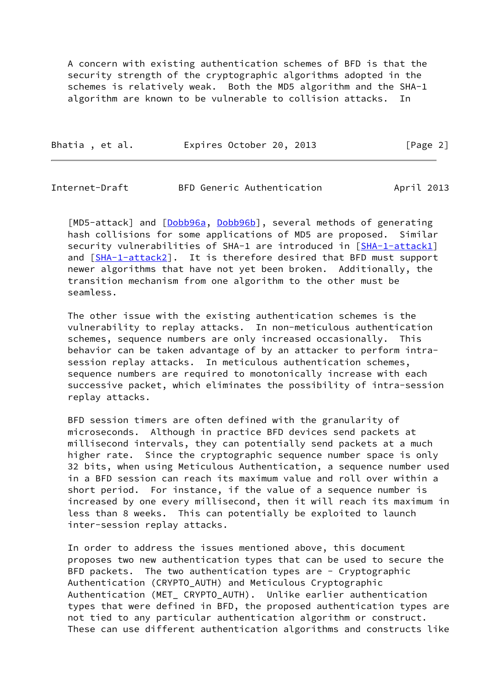A concern with existing authentication schemes of BFD is that the security strength of the cryptographic algorithms adopted in the schemes is relatively weak. Both the MD5 algorithm and the SHA-1 algorithm are known to be vulnerable to collision attacks.

| Bhatia, et al. |  | Expires October 20, 2013 | [Page 2] |
|----------------|--|--------------------------|----------|
|----------------|--|--------------------------|----------|

Internet-Draft BFD Generic Authentication April 2013

[MD5-attack] and [\[Dobb96a](#page-11-5), [Dobb96b](#page-11-6)], several methods of generating hash collisions for some applications of MD5 are proposed. Similar security vulnerabilities of SHA-1 are introduced in [\[SHA-1-attack1](#page-12-1)] and [\[SHA-1-attack2](#page-12-2)]. It is therefore desired that BFD must support newer algorithms that have not yet been broken. Additionally, the transition mechanism from one algorithm to the other must be seamless.

 The other issue with the existing authentication schemes is the vulnerability to replay attacks. In non-meticulous authentication schemes, sequence numbers are only increased occasionally. This behavior can be taken advantage of by an attacker to perform intra session replay attacks. In meticulous authentication schemes, sequence numbers are required to monotonically increase with each successive packet, which eliminates the possibility of intra-session replay attacks.

 BFD session timers are often defined with the granularity of microseconds. Although in practice BFD devices send packets at millisecond intervals, they can potentially send packets at a much higher rate. Since the cryptographic sequence number space is only 32 bits, when using Meticulous Authentication, a sequence number used in a BFD session can reach its maximum value and roll over within a short period. For instance, if the value of a sequence number is increased by one every millisecond, then it will reach its maximum in less than 8 weeks. This can potentially be exploited to launch inter-session replay attacks.

 In order to address the issues mentioned above, this document proposes two new authentication types that can be used to secure the BFD packets. The two authentication types are - Cryptographic Authentication (CRYPTO\_AUTH) and Meticulous Cryptographic Authentication (MET\_ CRYPTO\_AUTH). Unlike earlier authentication types that were defined in BFD, the proposed authentication types are not tied to any particular authentication algorithm or construct. These can use different authentication algorithms and constructs like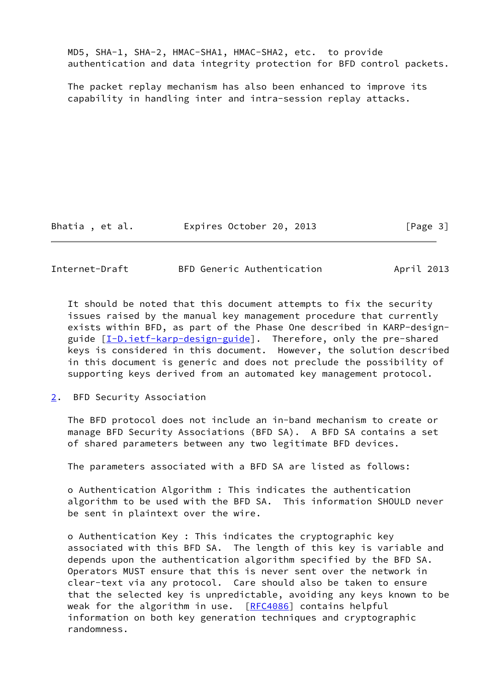MD5, SHA-1, SHA-2, HMAC-SHA1, HMAC-SHA2, etc. to provide authentication and data integrity protection for BFD control packets.

 The packet replay mechanism has also been enhanced to improve its capability in handling inter and intra-session replay attacks.

Bhatia, et al. 
Expires October 20, 2013
[Page 3]

<span id="page-3-1"></span>Internet-Draft BFD Generic Authentication April 2013

 It should be noted that this document attempts to fix the security issues raised by the manual key management procedure that currently exists within BFD, as part of the Phase One described in KARP-design- guide [[I-D.ietf-karp-design-guide\]](#page-11-7). Therefore, only the pre-shared keys is considered in this document. However, the solution described in this document is generic and does not preclude the possibility of supporting keys derived from an automated key management protocol.

<span id="page-3-0"></span>[2](#page-3-0). BFD Security Association

 The BFD protocol does not include an in-band mechanism to create or manage BFD Security Associations (BFD SA). A BFD SA contains a set of shared parameters between any two legitimate BFD devices.

The parameters associated with a BFD SA are listed as follows:

 o Authentication Algorithm : This indicates the authentication algorithm to be used with the BFD SA. This information SHOULD never be sent in plaintext over the wire.

 o Authentication Key : This indicates the cryptographic key associated with this BFD SA. The length of this key is variable and depends upon the authentication algorithm specified by the BFD SA. Operators MUST ensure that this is never sent over the network in clear-text via any protocol. Care should also be taken to ensure that the selected key is unpredictable, avoiding any keys known to be weak for the algorithm in use. [\[RFC4086](https://datatracker.ietf.org/doc/pdf/rfc4086)] contains helpful information on both key generation techniques and cryptographic randomness.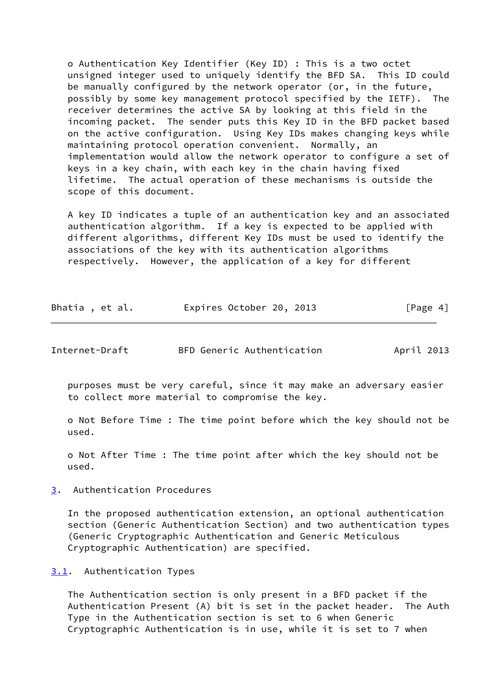o Authentication Key Identifier (Key ID) : This is a two octet unsigned integer used to uniquely identify the BFD SA. This ID could be manually configured by the network operator (or, in the future, possibly by some key management protocol specified by the IETF). The receiver determines the active SA by looking at this field in the incoming packet. The sender puts this Key ID in the BFD packet based on the active configuration. Using Key IDs makes changing keys while maintaining protocol operation convenient. Normally, an implementation would allow the network operator to configure a set of keys in a key chain, with each key in the chain having fixed lifetime. The actual operation of these mechanisms is outside the scope of this document.

 A key ID indicates a tuple of an authentication key and an associated authentication algorithm. If a key is expected to be applied with different algorithms, different Key IDs must be used to identify the associations of the key with its authentication algorithms respectively. However, the application of a key for different

| Bhatia, et al. | Expires October 20, 2013 |  | [Page 4] |
|----------------|--------------------------|--|----------|
|----------------|--------------------------|--|----------|

<span id="page-4-1"></span>

| Internet-Draft | BFD Generic Authentication | April 2013 |  |
|----------------|----------------------------|------------|--|
|                |                            |            |  |

 purposes must be very careful, since it may make an adversary easier to collect more material to compromise the key.

 o Not Before Time : The time point before which the key should not be used.

 o Not After Time : The time point after which the key should not be used.

<span id="page-4-0"></span>[3](#page-4-0). Authentication Procedures

 In the proposed authentication extension, an optional authentication section (Generic Authentication Section) and two authentication types (Generic Cryptographic Authentication and Generic Meticulous Cryptographic Authentication) are specified.

<span id="page-4-2"></span>[3.1](#page-4-2). Authentication Types

 The Authentication section is only present in a BFD packet if the Authentication Present (A) bit is set in the packet header. The Auth Type in the Authentication section is set to 6 when Generic Cryptographic Authentication is in use, while it is set to 7 when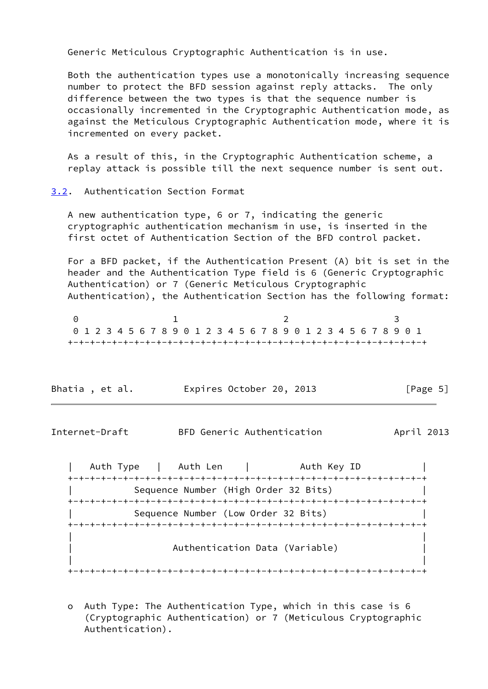Generic Meticulous Cryptographic Authentication is in use.

 Both the authentication types use a monotonically increasing sequence number to protect the BFD session against reply attacks. The only difference between the two types is that the sequence number is occasionally incremented in the Cryptographic Authentication mode, as against the Meticulous Cryptographic Authentication mode, where it is incremented on every packet.

 As a result of this, in the Cryptographic Authentication scheme, a replay attack is possible till the next sequence number is sent out.

### <span id="page-5-0"></span>[3.2](#page-5-0). Authentication Section Format

 A new authentication type, 6 or 7, indicating the generic cryptographic authentication mechanism in use, is inserted in the first octet of Authentication Section of the BFD control packet.

 For a BFD packet, if the Authentication Present (A) bit is set in the header and the Authentication Type field is 6 (Generic Cryptographic Authentication) or 7 (Generic Meticulous Cryptographic Authentication), the Authentication Section has the following format:

0 1 2 3 0 1 2 3 4 5 6 7 8 9 0 1 2 3 4 5 6 7 8 9 0 1 2 3 4 5 6 7 8 9 0 1 +-+-+-+-+-+-+-+-+-+-+-+-+-+-+-+-+-+-+-+-+-+-+-+-+-+-+-+-+-+-+-+-+

| Bhatia, et al. | Expires October 20, 2013 |  | [Page 5] |
|----------------|--------------------------|--|----------|
|----------------|--------------------------|--|----------|

<span id="page-5-1"></span>Internet-Draft BFD Generic Authentication April 2013

| Auth Type | Auth Len | Auth Key ID +-+-+-+-+-+-+-+-+-+-+-+-+-+-+-+-+-+-+-+-+-+-+-+-+-+-+-+-+-+-+-+-+ Sequence Number (High Order 32 Bits) +-+-+-+-+-+-+-+-+-+-+-+-+-+-+-+-+-+-+-+-+-+-+-+-+-+-+-+-+-+-+-+-+ Sequence Number (Low Order 32 Bits) +-+-+-+-+-+-+-+-+-+-+-+-+-+-+-+-+-+-+-+-+-+-+-+-+-+-+-+-+-+-+-+-+ | | | Authentication Data (Variable) | | | +-+-+-+-+-+-+-+-+-+-+-+-+-+-+-+-+-+-+-+-+-+-+-+-+-+-+-+-+-+-+-+-+

 o Auth Type: The Authentication Type, which in this case is 6 (Cryptographic Authentication) or 7 (Meticulous Cryptographic Authentication).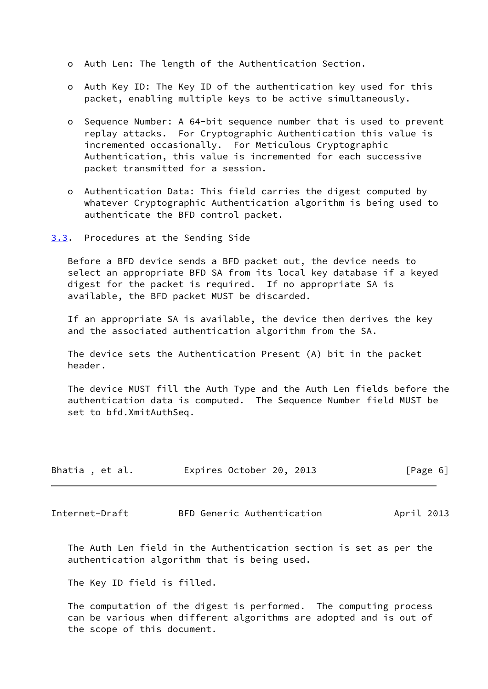- o Auth Len: The length of the Authentication Section.
- o Auth Key ID: The Key ID of the authentication key used for this packet, enabling multiple keys to be active simultaneously.
- o Sequence Number: A 64-bit sequence number that is used to prevent replay attacks. For Cryptographic Authentication this value is incremented occasionally. For Meticulous Cryptographic Authentication, this value is incremented for each successive packet transmitted for a session.
- o Authentication Data: This field carries the digest computed by whatever Cryptographic Authentication algorithm is being used to authenticate the BFD control packet.
- <span id="page-6-0"></span>[3.3](#page-6-0). Procedures at the Sending Side

 Before a BFD device sends a BFD packet out, the device needs to select an appropriate BFD SA from its local key database if a keyed digest for the packet is required. If no appropriate SA is available, the BFD packet MUST be discarded.

 If an appropriate SA is available, the device then derives the key and the associated authentication algorithm from the SA.

 The device sets the Authentication Present (A) bit in the packet header.

 The device MUST fill the Auth Type and the Auth Len fields before the authentication data is computed. The Sequence Number field MUST be set to bfd.XmitAuthSeq.

| Bhatia, et al. | Expires October 20, 2013 | [Page 6] |
|----------------|--------------------------|----------|
|                |                          |          |

<span id="page-6-1"></span>Internet-Draft BFD Generic Authentication April 2013

 The Auth Len field in the Authentication section is set as per the authentication algorithm that is being used.

The Key ID field is filled.

 The computation of the digest is performed. The computing process can be various when different algorithms are adopted and is out of the scope of this document.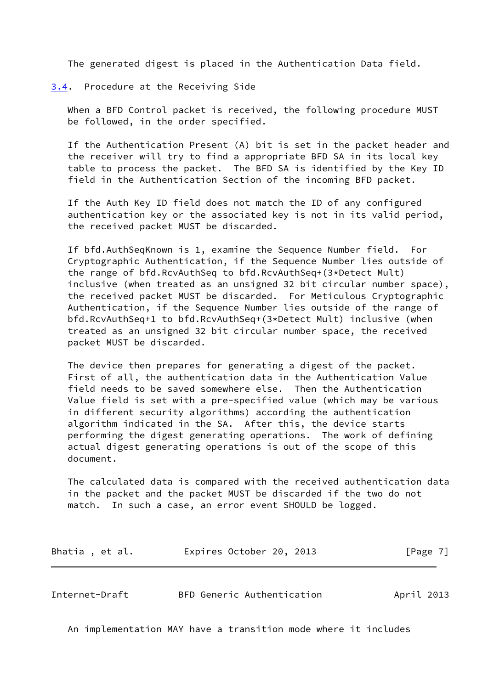The generated digest is placed in the Authentication Data field.

<span id="page-7-0"></span>[3.4](#page-7-0). Procedure at the Receiving Side

 When a BFD Control packet is received, the following procedure MUST be followed, in the order specified.

 If the Authentication Present (A) bit is set in the packet header and the receiver will try to find a appropriate BFD SA in its local key table to process the packet. The BFD SA is identified by the Key ID field in the Authentication Section of the incoming BFD packet.

 If the Auth Key ID field does not match the ID of any configured authentication key or the associated key is not in its valid period, the received packet MUST be discarded.

 If bfd.AuthSeqKnown is 1, examine the Sequence Number field. For Cryptographic Authentication, if the Sequence Number lies outside of the range of bfd.RcvAuthSeq to bfd.RcvAuthSeq+(3\*Detect Mult) inclusive (when treated as an unsigned 32 bit circular number space), the received packet MUST be discarded. For Meticulous Cryptographic Authentication, if the Sequence Number lies outside of the range of bfd.RcvAuthSeq+1 to bfd.RcvAuthSeq+(3\*Detect Mult) inclusive (when treated as an unsigned 32 bit circular number space, the received packet MUST be discarded.

 The device then prepares for generating a digest of the packet. First of all, the authentication data in the Authentication Value field needs to be saved somewhere else. Then the Authentication Value field is set with a pre-specified value (which may be various in different security algorithms) according the authentication algorithm indicated in the SA. After this, the device starts performing the digest generating operations. The work of defining actual digest generating operations is out of the scope of this document.

 The calculated data is compared with the received authentication data in the packet and the packet MUST be discarded if the two do not match. In such a case, an error event SHOULD be logged.

| Bhatia, et al. | Expires October 20, 2013 |  | [Page 7] |
|----------------|--------------------------|--|----------|
|----------------|--------------------------|--|----------|

<span id="page-7-1"></span>Internet-Draft BFD Generic Authentication April 2013

An implementation MAY have a transition mode where it includes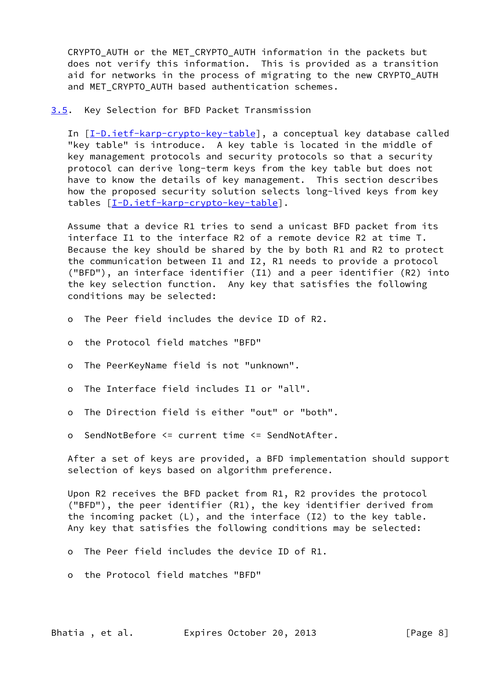CRYPTO AUTH or the MET CRYPTO AUTH information in the packets but does not verify this information. This is provided as a transition aid for networks in the process of migrating to the new CRYPTO AUTH and MET CRYPTO AUTH based authentication schemes.

<span id="page-8-0"></span>[3.5](#page-8-0). Key Selection for BFD Packet Transmission

In [[I-D.ietf-karp-crypto-key-table](#page-11-8)], a conceptual key database called "key table" is introduce. A key table is located in the middle of key management protocols and security protocols so that a security protocol can derive long-term keys from the key table but does not have to know the details of key management. This section describes how the proposed security solution selects long-lived keys from key tables [\[I-D.ietf-karp-crypto-key-table](#page-11-8)].

 Assume that a device R1 tries to send a unicast BFD packet from its interface I1 to the interface R2 of a remote device R2 at time T. Because the key should be shared by the by both R1 and R2 to protect the communication between I1 and I2, R1 needs to provide a protocol ("BFD"), an interface identifier (I1) and a peer identifier (R2) into the key selection function. Any key that satisfies the following conditions may be selected:

- o The Peer field includes the device ID of R2.
- o the Protocol field matches "BFD"
- o The PeerKeyName field is not "unknown".
- o The Interface field includes I1 or "all".
- o The Direction field is either "out" or "both".
- o SendNotBefore <= current time <= SendNotAfter.

 After a set of keys are provided, a BFD implementation should support selection of keys based on algorithm preference.

 Upon R2 receives the BFD packet from R1, R2 provides the protocol ("BFD"), the peer identifier (R1), the key identifier derived from the incoming packet (L), and the interface (I2) to the key table. Any key that satisfies the following conditions may be selected:

- o The Peer field includes the device ID of R1.
- o the Protocol field matches "BFD"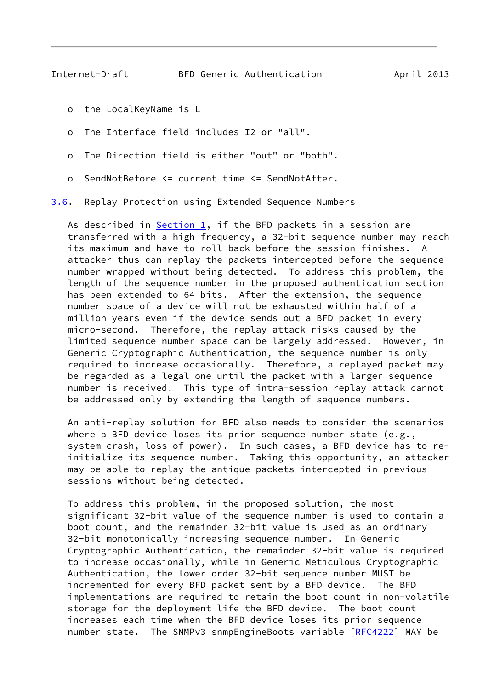- <span id="page-9-1"></span>o the LocalKeyName is L
- o The Interface field includes I2 or "all".
- o The Direction field is either "out" or "both".
- o SendNotBefore <= current time <= SendNotAfter.

<span id="page-9-0"></span>[3.6](#page-9-0). Replay Protection using Extended Sequence Numbers

As described in  $Section 1$ , if the BFD packets in a session are transferred with a high frequency, a 32-bit sequence number may reach its maximum and have to roll back before the session finishes. A attacker thus can replay the packets intercepted before the sequence number wrapped without being detected. To address this problem, the length of the sequence number in the proposed authentication section has been extended to 64 bits. After the extension, the sequence number space of a device will not be exhausted within half of a million years even if the device sends out a BFD packet in every micro-second. Therefore, the replay attack risks caused by the limited sequence number space can be largely addressed. However, in Generic Cryptographic Authentication, the sequence number is only required to increase occasionally. Therefore, a replayed packet may be regarded as a legal one until the packet with a larger sequence number is received. This type of intra-session replay attack cannot be addressed only by extending the length of sequence numbers.

 An anti-replay solution for BFD also needs to consider the scenarios where a BFD device loses its prior sequence number state (e.g., system crash, loss of power). In such cases, a BFD device has to re initialize its sequence number. Taking this opportunity, an attacker may be able to replay the antique packets intercepted in previous sessions without being detected.

 To address this problem, in the proposed solution, the most significant 32-bit value of the sequence number is used to contain a boot count, and the remainder 32-bit value is used as an ordinary 32-bit monotonically increasing sequence number. In Generic Cryptographic Authentication, the remainder 32-bit value is required to increase occasionally, while in Generic Meticulous Cryptographic Authentication, the lower order 32-bit sequence number MUST be incremented for every BFD packet sent by a BFD device. The BFD implementations are required to retain the boot count in non-volatile storage for the deployment life the BFD device. The boot count increases each time when the BFD device loses its prior sequence number state. The SNMPv3 snmpEngineBoots variable [[RFC4222\]](https://datatracker.ietf.org/doc/pdf/rfc4222) MAY be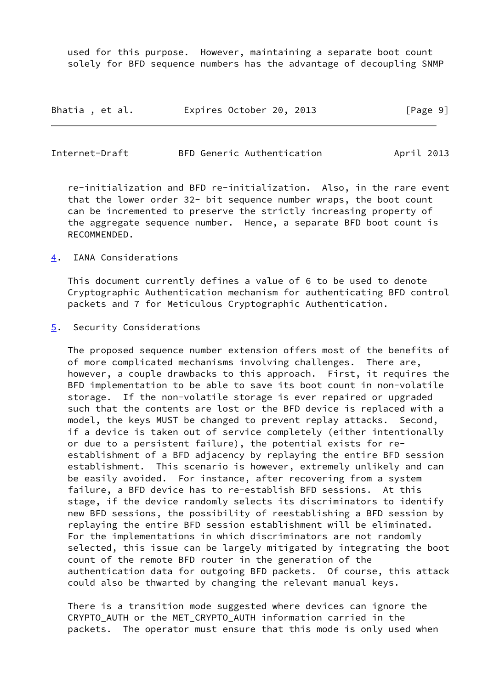used for this purpose. However, maintaining a separate boot count solely for BFD sequence numbers has the advantage of decoupling SNMP

| Bhatia, et al. | Expires October 20, 2013 |  | [Page 9] |
|----------------|--------------------------|--|----------|
|----------------|--------------------------|--|----------|

<span id="page-10-1"></span>

| Internet-Draft | BFD Generic Authentication | April 2013 |  |
|----------------|----------------------------|------------|--|
|                |                            |            |  |

 re-initialization and BFD re-initialization. Also, in the rare event that the lower order 32- bit sequence number wraps, the boot count can be incremented to preserve the strictly increasing property of the aggregate sequence number. Hence, a separate BFD boot count is RECOMMENDED.

<span id="page-10-0"></span>[4](#page-10-0). IANA Considerations

 This document currently defines a value of 6 to be used to denote Cryptographic Authentication mechanism for authenticating BFD control packets and 7 for Meticulous Cryptographic Authentication.

<span id="page-10-2"></span>[5](#page-10-2). Security Considerations

 The proposed sequence number extension offers most of the benefits of of more complicated mechanisms involving challenges. There are, however, a couple drawbacks to this approach. First, it requires the BFD implementation to be able to save its boot count in non-volatile storage. If the non-volatile storage is ever repaired or upgraded such that the contents are lost or the BFD device is replaced with a model, the keys MUST be changed to prevent replay attacks. Second, if a device is taken out of service completely (either intentionally or due to a persistent failure), the potential exists for re establishment of a BFD adjacency by replaying the entire BFD session establishment. This scenario is however, extremely unlikely and can be easily avoided. For instance, after recovering from a system failure, a BFD device has to re-establish BFD sessions. At this stage, if the device randomly selects its discriminators to identify new BFD sessions, the possibility of reestablishing a BFD session by replaying the entire BFD session establishment will be eliminated. For the implementations in which discriminators are not randomly selected, this issue can be largely mitigated by integrating the boot count of the remote BFD router in the generation of the authentication data for outgoing BFD packets. Of course, this attack could also be thwarted by changing the relevant manual keys.

 There is a transition mode suggested where devices can ignore the CRYPTO AUTH or the MET CRYPTO AUTH information carried in the packets. The operator must ensure that this mode is only used when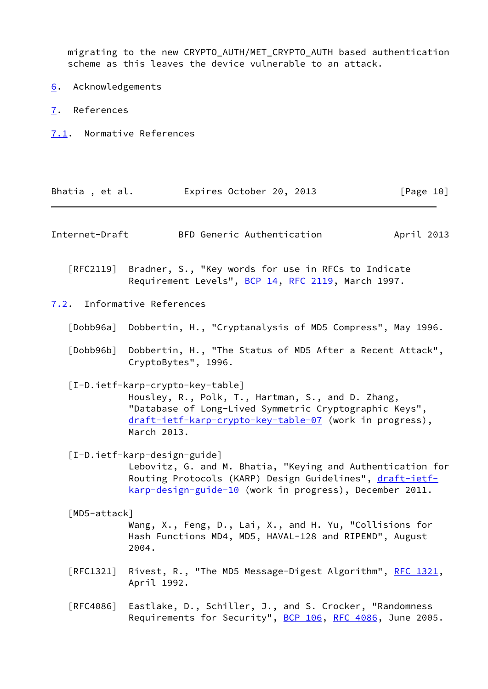migrating to the new CRYPTO\_AUTH/MET\_CRYPTO\_AUTH based authentication scheme as this leaves the device vulnerable to an attack.

- <span id="page-11-0"></span>[6](#page-11-0). Acknowledgements
- <span id="page-11-1"></span>[7](#page-11-1). References
- <span id="page-11-2"></span>[7.1](#page-11-2). Normative References

<span id="page-11-8"></span><span id="page-11-7"></span><span id="page-11-6"></span><span id="page-11-5"></span><span id="page-11-4"></span><span id="page-11-3"></span>

| Bhatia, et al.                   | Expires October 20, 2013                                                                                                                                                                                                  | [Page 10]  |
|----------------------------------|---------------------------------------------------------------------------------------------------------------------------------------------------------------------------------------------------------------------------|------------|
| Internet-Draft                   | BFD Generic Authentication                                                                                                                                                                                                | April 2013 |
| $\lceil \mathsf{RFC2119} \rceil$ | Bradner, S., "Key words for use in RFCs to Indicate<br>Requirement Levels", BCP 14, RFC 2119, March 1997.                                                                                                                 |            |
|                                  | 7.2. Informative References                                                                                                                                                                                               |            |
|                                  | [Dobb96a] Dobbertin, H., "Cryptanalysis of MD5 Compress", May 1996.                                                                                                                                                       |            |
| [Db96b]                          | Dobbertin, H., "The Status of MD5 After a Recent Attack",<br>CryptoBytes", 1996.                                                                                                                                          |            |
|                                  | [I-D.ietf-karp-crypto-key-table]<br>Housley, R., Polk, T., Hartman, S., and D. Zhang,<br>"Database of Long-Lived Symmetric Cryptographic Keys",<br>draft-ietf-karp-crypto-key-table-07 (work in progress),<br>March 2013. |            |
|                                  | [I-D.ietf-karp-design-guide]<br>Lebovitz, G. and M. Bhatia, "Keying and Authentication for<br>Routing Protocols (KARP) Design Guidelines", draft-ietf-<br>karp-design-guide-10 (work in progress), December 2011.         |            |
| [MD5-attack]                     | Wang, X., Feng, D., Lai, X., and H. Yu, "Collisions for<br>Hash Functions MD4, MD5, HAVAL-128 and RIPEMD", August<br>2004.                                                                                                |            |
| [RFC1321]                        | Rivest, R., "The MD5 Message-Digest Algorithm", RFC 1321,<br>April 1992.                                                                                                                                                  |            |
| [RFC4086]                        | Eastlake, D., Schiller, J., and S. Crocker, "Randomness<br>Requirements for Security", BCP 106, RFC 4086, June 2005.                                                                                                      |            |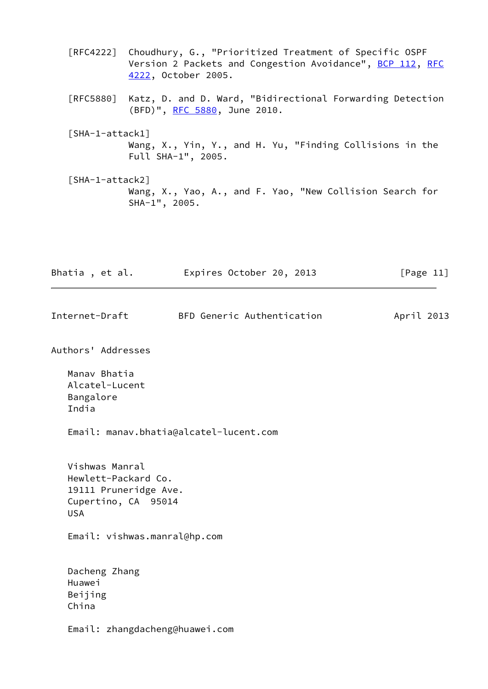- [RFC4222] Choudhury, G., "Prioritized Treatment of Specific OSPF Version 2 Packets and Congestion Avoidance", [BCP 112](https://datatracker.ietf.org/doc/pdf/bcp112), [RFC](https://datatracker.ietf.org/doc/pdf/rfc4222) [4222,](https://datatracker.ietf.org/doc/pdf/rfc4222) October 2005.
- [RFC5880] Katz, D. and D. Ward, "Bidirectional Forwarding Detection (BFD)", [RFC 5880,](https://datatracker.ietf.org/doc/pdf/rfc5880) June 2010.
- <span id="page-12-1"></span> [SHA-1-attack1] Wang, X., Yin, Y., and H. Yu, "Finding Collisions in the Full SHA-1", 2005.
- <span id="page-12-2"></span> [SHA-1-attack2] Wang, X., Yao, A., and F. Yao, "New Collision Search for SHA-1", 2005.

| Bhatia, et al. | Expires October 20, 2013 | [Page 11] |
|----------------|--------------------------|-----------|
|                |                          |           |

<span id="page-12-0"></span>Internet-Draft BFD Generic Authentication April 2013

Authors' Addresses

 Manav Bhatia Alcatel-Lucent Bangalore India

Email: manav.bhatia@alcatel-lucent.com

 Vishwas Manral Hewlett-Packard Co. 19111 Pruneridge Ave. Cupertino, CA 95014 USA

Email: vishwas.manral@hp.com

 Dacheng Zhang Huawei Beijing China

Email: zhangdacheng@huawei.com